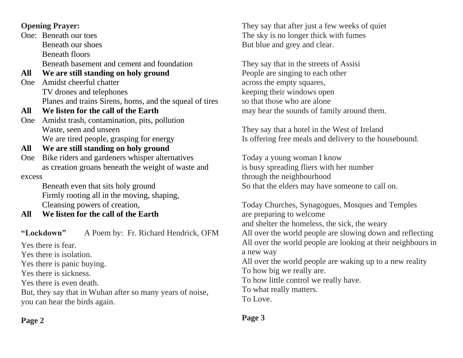#### **Opening Prayer:**

One: Beneath our toes Beneath our shoes Beneath floors Beneath basement and cement and foundation

**All We are still standing on holy ground** 

- One Amidst cheerful chatter TV drones and telephones Planes and trains Sirens, horns, and the squeal of tires
- **All We listen for the call of the Earth**
- One Amidst trash, contamination, pits, pollution Waste, seen and unseen We are tired people, grasping for energy
- **All We are still standing on holy ground**
- One Bike riders and gardeners whisper alternatives as creation groans beneath the weight of waste and excess

Beneath even that sits holy ground Firmly rooting all in the moving, shaping, Cleansing powers of creation,

**All We listen for the call of the Earth**

**"Lockdown"** A Poem by: Fr. Richard Hendrick, OFM

Yes there is fear.

Yes there is isolation.

Yes there is panic buying.

Yes there is sickness.

Yes there is even death.

But, they say that in Wuhan after so many years of noise, you can hear the birds again.

They say that after just a few weeks of quiet The sky is no longer thick with fumes But blue and grey and clear.

They say that in the streets of Assisi People are singing to each other across the empty squares, keeping their windows open so that those who are alone may hear the sounds of family around them.

They say that a hotel in the West of Ireland Is offering free meals and delivery to the housebound.

Today a young woman I know is busy spreading fliers with her number through the neighbourhood So that the elders may have someone to call on.

Today Churches, Synagogues, Mosques and Temples are preparing to welcome and shelter the homeless, the sick, the weary All over the world people are slowing down and reflecting All over the world people are looking at their neighbours in a new way All over the world people are waking up to a new reality To how big we really are. To how little control we really have. To what really matters. To Love.

**Page 2** 

#### **Page 3**